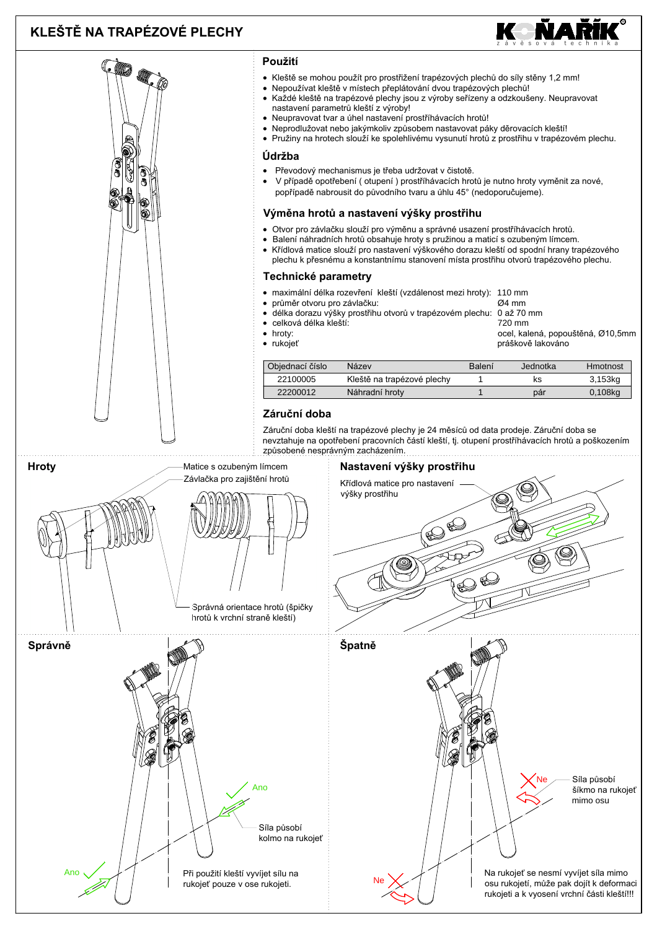# KLEŠTĚ NA TRAPÉZOVÉ PLECHY



#### Použití • Kleště se mohou použít pro prostřižení trapézových plechů do síly stěny 1,2 mm! Nepoužívat kleště v místech přeplátování dvou trapézových plechů! Každé kleště na trapézové plechy jsou z výroby seřízeny a odzkoušeny. Neupravovat nastavení parametrů kleští z výroby! · Neupravovat tvar a úhel nastavení prostříhávacích hrotů! Neprodlužovat nebo jakýmkoliv způsobem nastavovat páky děrovacích kleští! Pružiny na hrotech slouží ke spolehlivému vysunutí hrotů z prostřihu v trapézovém plechu. Údržba Převodový mechanismus je třeba udržovat v čistotě.  $\bullet$ V případě opotřebení (otupení) prostříhávacích hrotů je nutno hroty vyměnit za nové, popřípadě nabrousit do původního tvaru a úhlu 45° (nedoporučujeme). Výměna hrotů a nastavení výšky prostřihu Otvor pro závlačku slouží pro výměnu a správné usazení prostříhávacích hrotů. Balení náhradních hrotů obsahuje hroty s pružinou a maticí s ozubeným límcem. Křídlová matice slouží pro nastavení výškového dorazu kleští od spodní hrany trapézového plechu k přesnému a konstantnímu stanovení místa prostřihu otvorů trapézového plechu. Technické parametry · maximální délka rozevření kleští (vzdálenost mezi hroty): 110 mm průměr otvoru pro závlačku: Ø4 mm délka dorazu výšky prostřihu otvorů v trapézovém plechu: 0 až 70 mm celková délka kleští:  $720 \text{ mm}$  $\bullet$  hroty: ocel, kalená, popouštěná, Ø10,5mm • rukojeť práškově lakováno Obiednací číslo Balení Jednotka Název **Hmotnost** 22100005 Kleště na trapézové plechy  $\overline{\mathsf{k}}$ s  $3,153kq$  $\overline{1}$ 22200012 Náhradní hroty  $\overline{1}$ pár 0,108kg Záruční doba Záruční doba kleští na trapézové plechy je 24 měsíců od data prodeje. Záruční doba se nevztahuje na opotřebení pracovních částí kleští, tj. otupení prostříhávacích hrotů a poškozením způsobené nesprávným zacházením. **Hroty** Matice s ozubeným límcem Nastavení výšky prostřihu Závlačka pro zajištění hrotů Křídlová matice pro nastavení výšky prostřihu Správná orientace hrotů (špičky hrotů k vrchní straně kleští) Špatně Správně Síla působí And šíkmo na rukojeť mimo osu Síla působí kolmo na rukojeť Při použití kleští vyvíjet sílu na Na rukojeť se nesmí vyvíjet síla mimo rukojeť pouze v ose rukojeti. osu rukojetí, může pak dojít k deformaci rukojeti a k vyosení vrchní části kleští!!!